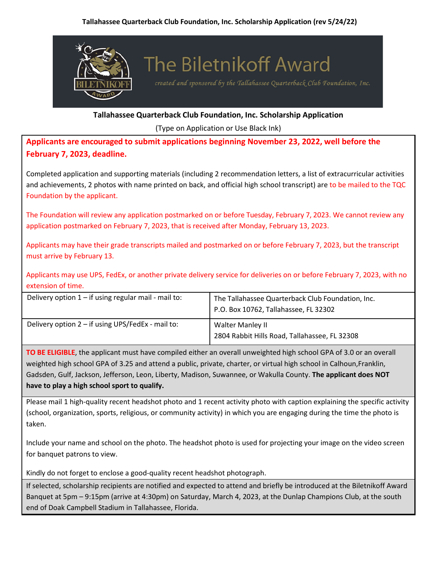

## The Biletnikoff Award

created and sponsored by the Tallahassee Quarterback Club Foundation, Inc.

## **Tallahassee Quarterback Club Foundation, Inc. Scholarship Application**

(Type on Application or Use Black Ink)

**Applicants are encouraged to submit applications beginning November 23, 2022, well before the February 7, 2023, deadline.**

Completed application and supporting materials (including 2 recommendation letters, a list of extracurricular activities and achievements, 2 photos with name printed on back, and official high school transcript) are to be mailed to the TQC Foundation by the applicant.

The Foundation will review any application postmarked on or before Tuesday, February 7, 2023. We cannot review any application postmarked on February 7, 2023, that is received after Monday, February 13, 2023.

Applicants may have their grade transcripts mailed and postmarked on or before February 7, 2023, but the transcript must arrive by February 13.

Applicants may use UPS, FedEx, or another private delivery service for deliveries on or before February 7, 2023, with no extension of time.

| Delivery option $1 - if$ using regular mail - mail to: | The Tallahassee Quarterback Club Foundation, Inc.<br>P.O. Box 10762, Tallahassee, FL 32302 |
|--------------------------------------------------------|--------------------------------------------------------------------------------------------|
| Delivery option $2 - if$ using UPS/FedEx - mail to:    | Walter Manley II<br>2804 Rabbit Hills Road, Tallahassee, FL 32308                          |

**TO BE ELIGIBLE**, the applicant must have compiled either an overall unweighted high school GPA of 3.0 or an overall weighted high school GPA of 3.25 and attend a public, private, charter, or virtual high school in Calhoun,Franklin, Gadsden, Gulf, Jackson, Jefferson, Leon, Liberty, Madison, Suwannee, or Wakulla County. **The applicant does NOT have to play a high school sport to qualify.**

Please mail 1 high-quality recent headshot photo and 1 recent activity photo with caption explaining the specific activity (school, organization, sports, religious, or community activity) in which you are engaging during the time the photo is taken.

Include your name and school on the photo. The headshot photo is used for projecting your image on the video screen for banquet patrons to view.

Kindly do not forget to enclose a good-quality recent headshot photograph.

If selected, scholarship recipients are notified and expected to attend and briefly be introduced at the Biletnikoff Award Banquet at 5pm – 9:15pm (arrive at 4:30pm) on Saturday, March 4, 2023, at the Dunlap Champions Club, at the south end of Doak Campbell Stadium in Tallahassee, Florida.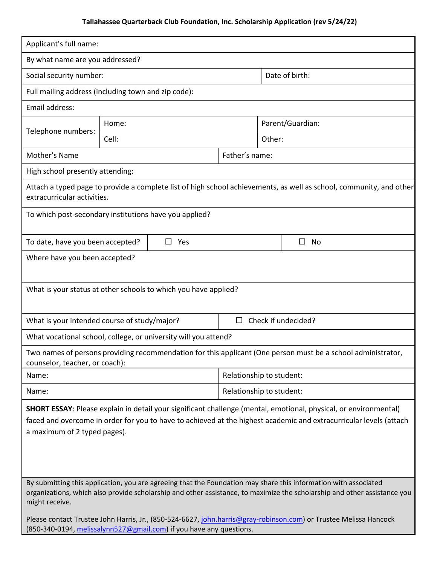## **Tallahassee Quarterback Club Foundation, Inc. Scholarship Application (rev 5/24/22)**

| Applicant's full name:                                                                                                                                                                                                                                                                                                                                                                    |                          |               |                     |                          |              |  |
|-------------------------------------------------------------------------------------------------------------------------------------------------------------------------------------------------------------------------------------------------------------------------------------------------------------------------------------------------------------------------------------------|--------------------------|---------------|---------------------|--------------------------|--------------|--|
| By what name are you addressed?                                                                                                                                                                                                                                                                                                                                                           |                          |               |                     |                          |              |  |
| Social security number:                                                                                                                                                                                                                                                                                                                                                                   |                          |               |                     | Date of birth:           |              |  |
| Full mailing address (including town and zip code):                                                                                                                                                                                                                                                                                                                                       |                          |               |                     |                          |              |  |
| Email address:                                                                                                                                                                                                                                                                                                                                                                            |                          |               |                     |                          |              |  |
|                                                                                                                                                                                                                                                                                                                                                                                           | Home:                    |               |                     | Parent/Guardian:         |              |  |
| Telephone numbers:                                                                                                                                                                                                                                                                                                                                                                        | Cell:                    |               |                     | Other:                   |              |  |
| Mother's Name                                                                                                                                                                                                                                                                                                                                                                             |                          |               | Father's name:      |                          |              |  |
| High school presently attending:                                                                                                                                                                                                                                                                                                                                                          |                          |               |                     |                          |              |  |
| Attach a typed page to provide a complete list of high school achievements, as well as school, community, and other<br>extracurricular activities.                                                                                                                                                                                                                                        |                          |               |                     |                          |              |  |
| To which post-secondary institutions have you applied?                                                                                                                                                                                                                                                                                                                                    |                          |               |                     |                          |              |  |
| To date, have you been accepted?                                                                                                                                                                                                                                                                                                                                                          |                          | $\square$ Yes |                     |                          | $\Box$<br>No |  |
| Where have you been accepted?                                                                                                                                                                                                                                                                                                                                                             |                          |               |                     |                          |              |  |
| What is your status at other schools to which you have applied?                                                                                                                                                                                                                                                                                                                           |                          |               |                     |                          |              |  |
| What is your intended course of study/major?                                                                                                                                                                                                                                                                                                                                              |                          | □             | Check if undecided? |                          |              |  |
| What vocational school, college, or university will you attend?                                                                                                                                                                                                                                                                                                                           |                          |               |                     |                          |              |  |
| Two names of persons providing recommendation for this applicant (One person must be a school administrator,<br>counselor, teacher, or coach):                                                                                                                                                                                                                                            |                          |               |                     |                          |              |  |
| Name:                                                                                                                                                                                                                                                                                                                                                                                     | Relationship to student: |               |                     |                          |              |  |
| Name:                                                                                                                                                                                                                                                                                                                                                                                     |                          |               |                     | Relationship to student: |              |  |
| SHORT ESSAY: Please explain in detail your significant challenge (mental, emotional, physical, or environmental)<br>faced and overcome in order for you to have to achieved at the highest academic and extracurricular levels (attach<br>a maximum of 2 typed pages).<br>By submitting this application, you are agreeing that the Foundation may share this information with associated |                          |               |                     |                          |              |  |
| organizations, which also provide scholarship and other assistance, to maximize the scholarship and other assistance you<br>might receive.<br>Please contact Trustee John Harris, Jr., (850-524-6627, john.harris@gray-robinson.com) or Trustee Melissa Hancock<br>(850-340-0194, melissalynn527@gmail.com) if you have any questions.                                                    |                          |               |                     |                          |              |  |